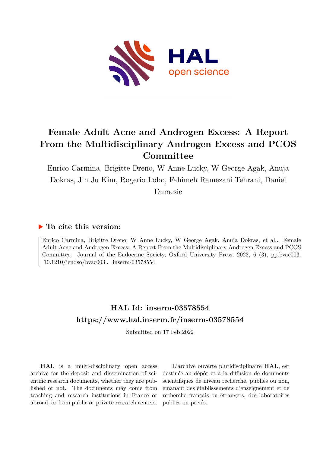

## **Female Adult Acne and Androgen Excess: A Report From the Multidisciplinary Androgen Excess and PCOS Committee**

Enrico Carmina, Brigitte Dreno, W Anne Lucky, W George Agak, Anuja Dokras, Jin Ju Kim, Rogerio Lobo, Fahimeh Ramezani Tehrani, Daniel Dumesic

## **To cite this version:**

Enrico Carmina, Brigitte Dreno, W Anne Lucky, W George Agak, Anuja Dokras, et al.. Female Adult Acne and Androgen Excess: A Report From the Multidisciplinary Androgen Excess and PCOS Committee. Journal of the Endocrine Society, Oxford University Press, 2022, 6 (3), pp.bvac003.  $10.1210$ /jendso/bvac003. inserm-03578554

## **HAL Id: inserm-03578554 <https://www.hal.inserm.fr/inserm-03578554>**

Submitted on 17 Feb 2022

**HAL** is a multi-disciplinary open access archive for the deposit and dissemination of scientific research documents, whether they are published or not. The documents may come from teaching and research institutions in France or abroad, or from public or private research centers.

L'archive ouverte pluridisciplinaire **HAL**, est destinée au dépôt et à la diffusion de documents scientifiques de niveau recherche, publiés ou non, émanant des établissements d'enseignement et de recherche français ou étrangers, des laboratoires publics ou privés.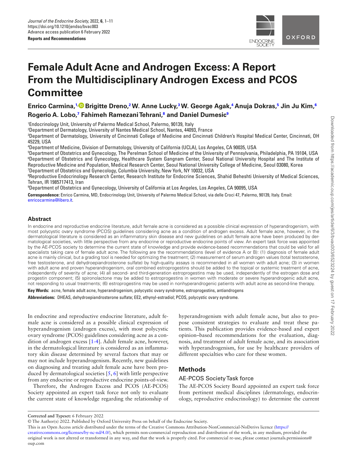

# **Female Adult Acne and Androgen Excess: A Report From the Multidisciplinary Androgen Excess and PCOS Committee**

**Enrico Carmina, [1,](https://orcid.org/0000-0001-7336-7610) Brigitte Dreno, 2 W. Anne Lucky, 3 W. George Agak, 4 Anuja Dokras, 5 Jin Ju Kim, 6 Rogerio A. Lobo, 7 Fahimeh Ramezani Tehrani, 8 and Daniel Dumesic9**

1 Endocrinology Unit, University of Palermo Medical School, Palermo, 90139, Italy

2 Department of Dermatology, University of Nantes Medical School, Nantes, 44093, France

3 Department of Dermatology, University of Cincinnati College of Medicine and Cincinnati Children's Hospital Medical Center, Cincinnati, OH 45229, USA

4 Department of Medicine, Division of Dermatology, University of California (UCLA), Los Angeles, CA 90035, USA

 Department of Obstetrics and Gynecology, The Perelman School of Medicine of the University of Pennsylvania, Philadelphia, PA 19104, USA Department of Obstetrics and Gynecology, Healthcare System Gangnam Center, Seoul National University Hospital and The Institute of Reproductive Medicine and Population, Medical Research Center, Seoul National University College of Medicine, Seoul 03080, Korea Department of Obstetrics and Gynecology, Columbia University, New York, NY 10032, USA

8 Reproductive Endocrinology Research Center, Research Institute for Endocrine Sciences, Shahid Beheshti University of Medical Sciences, Tehran, IR 1985717413, Iran

9 Department of Obstetrics and Gynecology, University of California at Los Angeles, Los Angeles, CA 90095, USA

**Correspondence:** Enrico Carmina, MD, Endocrinology Unit, University of Palermo Medical School, via delle Croci 47, Palermo, 90139, Italy. Email: [enricocarmina@libero.it](mailto:enricocarmina@libero.it?subject=).

#### **Abstract**

In endocrine and reproductive endocrine literature, adult female acne is considered as a possible clinical expression of hyperandrogenism, with most polycystic ovary syndrome (PCOS) guidelines considering acne as a condition of androgen excess. Adult female acne, however, in the dermatological literature is considered as an infammatory skin disease and new guidelines on adult female acne have been produced by dermatological societies, with little perspective from any endocrine or reproductive endocrine points of view. An expert task force was appointed by the AE-PCOS society to determine the current state of knowledge and provide evidence-based recommendations that could be valid for all specialists taking care of female adult acne. The following are the recommendations (level of evidence A or B): (1) diagnosis of female adult acne is mainly clinical, but a grading tool is needed for optimizing the treatment; (2) measurement of serum androgen values (total testosterone, free testosterone, and dehydroepiandrosterone sulfate) by high-quality assays is recommended in all women with adult acne; (3) in women with adult acne and proven hyperandrogenism, oral combined estroprogestins should be added to the topical or systemic treatment of acne, independently of severity of acne; (4) all second- and third-generation estroprogestins may be used, independently of the estrogen dose and progestin component; (5) spironolactone may be added to estroprogestins in women with moderate or severe hyperandrogenic adult acne, not responding to usual treatments; (6) estroprogestins may be used in nonhyperandrogenic patients with adult acne as second-line therapy.

**Key Words:** acne, female adult acne, hyperandrogenism, polycystic ovary syndrome, estroprogestins, antiandrogens **Abbreviations:** DHEAS, dehydroepiandrosterone sulfate; EE2, ethynyl-estradiol; PCOS, polycystic ovary syndrome.

In endocrine and reproductive endocrine literature, adult female acne is considered as a possible clinical expression of hyperandrogenism (androgen excess), with most polycystic ovary syndrome (PCOS) guidelines considering acne as a condition of androgen excess [1-4]. Adult female acne, however, in the dermatological literature is considered as an infammatory skin disease determined by several factors that may or may not include hyperandrogenism. Recently, new guidelines on diagnosing and treating adult female acne have been produced by dermatological societies [5, 6] with little perspective from any endocrine or reproductive endocrine points-of-view.

Therefore, the Androgen Excess and PCOS (AE-PCOS) Society appointed an expert task force not only to evaluate the current state of knowledge regarding the relationship of hyperandrogenism with adult female acne, but also to propose consistent strategies to evaluate and treat these patients. This publication provides evidence-based and expert opinion–based recommendations for the evaluation, diagnosis, and treatment of adult female acne, and its association with hyperandrogenism, for use by healthcare providers of different specialties who care for these women.

## **Methods**

## AE-PCOS Society Task force

The AE-PCOS Society Board appointed an expert task force from pertinent medical disciplines (dermatology, endocrinology, reproductive endocrinology) to determine the current

This is an Open Access article distributed under the terms of the Creative Commons Attribution-NonCommercial-NoDerivs licence [\(https://](https://creativecommons.org/licenses/by-nc-nd/4.0/)

[creativecommons.org/licenses/by-nc-nd/4.0/](https://creativecommons.org/licenses/by-nc-nd/4.0/)), which permits non-commercial reproduction and distribution of the work, in any medium, provided the original work is not altered or transformed in any way, and that the work is properly cited. For commercial re-use, please contact journals.permissions@ oup.com

**Corrected and Typeset:** 6 February 2022

<sup>©</sup> The Author(s) 2022. Published by Oxford University Press on behalf of the Endocrine Society.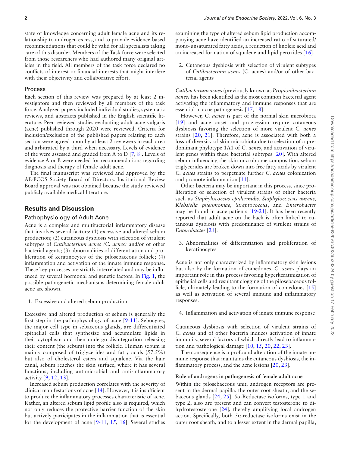state of knowledge concerning adult female acne and its relationship to androgen excess, and to provide evidence-based recommendations that could be valid for all specialists taking care of this disorder. Members of the Task force were selected from those researchers who had authored many original articles in the feld. All members of the task force declared no conficts of interest or fnancial interests that might interfere with their objectivity and collaborative effort.

#### Process

Each section of this review was prepared by at least 2 investigators and then reviewed by all members of the task force. Analyzed papers included individual studies, systematic reviews, and abstracts published in the English scientifc literature. Peer-reviewed studies evaluating adult acne vulgaris (acne) published through 2020 were reviewed. Criteria for inclusion/exclusion of the published papers relating to each section were agreed upon by at least 2 reviewers in each area and arbitrated by a third when necessary. Levels of evidence of the were assessed and graded from A to D [7, 8]. Levels of evidence A or B were needed for recommendations regarding diagnosis and therapy of female adult acne.

The fnal manuscript was reviewed and approved by the AE-PCOS Society Board of Directors. Institutional Review Board approval was not obtained because the study reviewed publicly available medical literature.

## **Results and Discussion**

## Pathophysiology of Adult Acne

Acne is a complex and multifactorial infammatory disease that involves several factors: (1) excessive and altered sebum production; (2) cutaneous dysbiosis with selection of virulent subtypes of *Cutibacterium acnes (C. acnes)* and/or of other bacterial agents; (3) abnormalities of differentiation and proliferation of keratinocytes of the pilosebaceous follicle; (4) infammation and activation of the innate immune response. These key processes are strictly interrelated and may be infuenced by several hormonal and genetic factors. In Fig. 1, the possible pathogenetic mechanisms determining female adult acne are shown.

1. Excessive and altered sebum production

Excessive and altered production of sebum is generally the frst step in the pathophysiology of acne [9-11]. Sebocytes, the major cell type in sebaceous glands, are differentiated epithelial cells that synthesize and accumulate lipids in their cytoplasm and then undergo disintegration releasing their content (the sebum) into the follicle. Human sebum is mainly composed of triglycerides and fatty acids (57.5%) but also of cholesterol esters and squalene. Via the hair canal, sebum reaches the skin surface, where it has several functions, including antimicrobial and anti-infammatory activity [9, 12, 13].

Increased sebum production correlates with the severity of clinical manifestations of acne [14]. However, it is insuffcient to produce the infammatory processes characteristic of acne. Rather, an altered sebum lipid profle also is required, which not only reduces the protective barrier function of the skin but actively participates in the infammation that is essential for the development of acne [9-11, 15, 16]. Several studies

examining the type of altered sebum lipid production accompanying acne have identifed an increased ratio of saturated/ mono-unsaturated fatty acids, a reduction of linoleic acid and an increased formation of squalene and lipid peroxides [16].

2. Cutaneous dysbiosis with selection of virulent subtypes of *Cutibacterium acnes* (C. acnes) and/or of other bacterial agents

*Cutibacterium acnes* (previously known as *Propionibacterium acnes)* has been identifed as the most common bacterial agent activating the infammatory and immune responses that are essential in acne pathogenesi*s* [17, 18].

However, *C. acnes* is part of the normal skin microbiota [19] and acne onset and progression require cutaneous dysbiosis favoring the selection of more virulent *C. acnes* strains [20, 21]. Therefore, acne is associated with both a loss of diversity of skin microbiota due to selection of a predominant phylotype 1A1 of *C. acnes*, and activation of virulent genes within these bacterial subtypes [20]. With altered sebum infuencing the skin microbiome composition, sebum triglycerides are broken down into free fatty acids by virulent *C. acnes* strains to perpetuate further *C. acnes* colonization and promote infammation [11].

Other bacteria may be important in this process, since proliferation or selection of virulent strains of other bacteria such as *Staphylococcus epidermidis*, *Staphylococcus aureus*, *Klebsiella pneumoniae*, *Streptococcus*, and *Enterobacter* may be found in acne patients [19-21]. It has been recently reported that adult acne on the back is often linked to cutaneous dysbiosis with predominance of virulent strains of *Enterobacter* [21].

3. Abnormalities of differentiation and proliferation of keratinocytes

Acne is not only characterized by infammatory skin lesions but also by the formation of comedones. *C. acnes* plays an important role in this process favoring hyperkeratinization of epithelial cells and resultant clogging of the pilosebaceous follicle, ultimately leading to the formation of comedones [15] as well as activation of several immune and infammatory responses.

4. Infammation and activation of innate immune response

Cutaneous dysbiosis with selection of virulent strains of *C. acnes* and of other bacteria induces activation of innate immunity, several factors of which directly lead to infammation and pathological damage [10, 15, 20, 22, 23].

The consequence is a profound alteration of the innate immune response that maintains the cutaneous dysbiosis, the inflammatory process, and the acne lesions [20, 23].

#### **Role of androgens in pathogenesis of female adult acne**

Within the pilosebaceous unit, androgen receptors are present in the dermal papilla, the outer root sheath, and the sebaceous glands [24, 25]. 5α-Reductase isoforms, type 1 and type 2, also are present and can convert testosterone to dihydrotestosterone [24], thereby amplifying local androgen action. Specifically, both  $5\alpha$ -reductase isoforms exist in the outer root sheath, and to a lesser extent in the dermal papilla,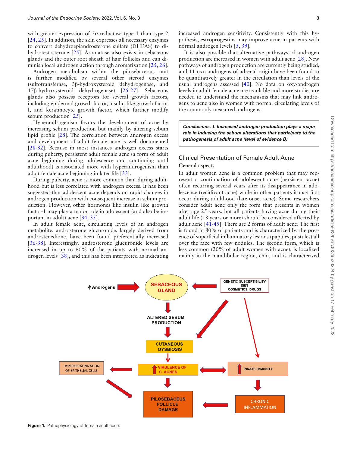with greater expression of  $5\alpha$ -reductase type 1 than type 2 [24, 25]. In addition, the skin expresses all necessary enzymes to convert dehydroepiandrosterone sulfate (DHEAS) to dihydrotestosterone [25]. Aromatase also exists in sebaceous glands and the outer root sheath of hair follicles and can diminish local androgen action through aromatization [25, 26].

Androgen metabolism within the pilosebaceous unit is further modifed by several other steroid enzymes (sulfotransferase, 3β-hydroxysteroid dehydrogenase, and 17β-hydroxysteroid dehydrogenase) [25-27]. Sebaceous glands also possess receptors for several growth factors, including epidermal growth factor, insulin-like growth factor I, and keratinocyte growth factor, which further modify sebum production [25].

Hyperandrogenism favors the development of acne by increasing sebum production but mainly by altering sebum lipid profle [28]. The correlation between androgen excess and development of adult female acne is well documented [28-32]. Because in most instances androgen excess starts during puberty, persistent adult female acne (a form of adult acne beginning during adolescence and continuing until adulthood) is associated more with hyperandrogenism than adult female acne beginning in later life [33].

During puberty, acne is more common than during adulthood but is less correlated with androgen excess. It has been suggested that adolescent acne depends on rapid changes in androgen production with consequent increase in sebum production. However, other hormones like insulin like growth factor-1 may play a major role in adolescent (and also be important in adult) acne [34, 35].

In adult female acne, circulating levels of an androgen metabolite, androsterone glucuronide, largely derived from androstenedione, have been found preferentially increased [36-38]. Interestingly, androsterone glucuronide levels are increased in up to 60% of the patients with normal androgen levels [38], and this has been interpreted as indicating

It is also possible that alternative pathways of androgen production are increased in women with adult acne [28]. New pathways of androgen production are currently being studied, and 11-oxo androgens of adrenal origin have been found to be quantitatively greater in the circulation than levels of the usual androgens assessed [40]. No data on oxy-androgen levels in adult female acne are available and more studies are needed to understand the mechanisms that may link androgens to acne also in women with normal circulating levels of the commonly measured androgens.

*Conclusions. 1. Increased androgen production plays a major role in inducing the sebum alterations that participate to the pathogenesis of adult acne (level of evidence B).*

## Clinical Presentation of Female Adult Acne **General aspects**

In adult women acne is a common problem that may represent a continuation of adolescent acne (persistent acne) often recurring several years after its disappearance in adolescence (recidivant acne) while in other patients it may frst occur during adulthood (late-onset acne). Some researchers consider adult acne only the form that presents in women after age 25 years, but all patients having acne during their adult life (18 years or more) should be considered affected by adult acne [41-45]. There are 2 forms of adult acne: The frst is found in 80% of patients and is characterized by the presence of superfcial infammatory lesions (papules, pustules) all over the face with few nodules. The second form, which is less common (20% of adult women with acne), is localized mainly in the mandibular region, chin, and is characterized



**Figure 1.** Pathophysiology of female adult acne.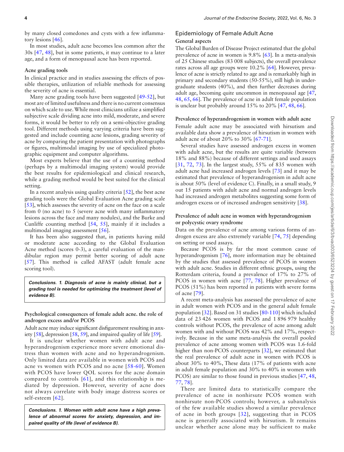by many closed comedones and cysts with a few infammatory lesions [46].

In most studies, adult acne becomes less common after the 30s [47, 48], but in some patients, it may continue to a later age, and a form of menopausal acne has been reported.

#### **Acne grading tools**

In clinical practice and in studies assessing the effects of possible therapies, utilization of reliable methods for assessing the severity of acne is essential.

Many acne grading tools have been suggested [49-52], but most are of limited usefulness and there is no current consensus on which scale to use. While most clinicians utilize a simplifed subjective scale dividing acne into mild, moderate, and severe forms, it would be better to rely on a semi-objective grading tool. Different methods using varying criteria have been suggested and include counting acne lesions, grading severity of acne by comparing the patient presentation with photographs or fgures, multimodal imaging by use of specialized photographic equipment and computer algorithms.

Most experts believe that the use of a counting method (perhaps by a multimodal imaging system) would provide the best results for epidemiological and clinical research, while a grading method would be best suited for the clinical setting.

In a recent analysis using quality criteria [52], the best acne grading tools were the Global Evaluation Acne grading scale [53], which assesses the severity of acne on the face on a scale from 0 (no acne) to 5 (severe acne with many infammatory lesions across the face and many nodules), and the Burke and Cunliffe counting method [54, 55], mainly if it includes a multimodal imaging assessment [56].

It has been also suggested that, in patients having mild or moderate acne according to the Global Evaluation Acne method (scores 0-3), a careful evaluation of the mandibular region may permit better scoring of adult acne [57]. This method is called AFAST (adult female acne scoring tool).

*Conclusions. 1. Diagnosis of acne is mainly clinical, but a grading tool is needed for optimizing the treatment (level of evidence B).*

#### **Psychological consequences of female adult acne. the role of androgen excess and/or PCOS**

Adult acne may induce signifcant disfgurement resulting in anxiety [58], depression [58, 59], and impaired quality of life [59].

It is unclear whether women with adult acne and hyperandrogenism experience more severe emotional distress than women with acne and no hyperandrogenism. Only limited data are available in women with PCOS and acne vs women with PCOS and no acne [58-60]. Women with PCOS have lower QOL scores for the acne domain compared to controls [61], and this relationship is mediated by depression. However, severity of acne does not always correlate with body image distress scores or self-esteem [62].

*Conclusions. 1. Women with adult acne have a high prevalence of abnormal scores for anxiety, depression, and impaired quality of life (level of evidence B).*

## Epidemiology of Female Adult Acne **General aspects**

The Global Burden of Disease Project estimated that the global prevalence of acne in women is 9.8% [63]. In a meta-analysis of 25 Chinese studies (83 008 subjects), the overall prevalence rates across all age groups were 10.2% [64]. However, prevalence of acne is strictly related to age and is remarkably high in primary and secondary students (50-55%), still high in undergraduate students (40%), and then further decreases during adult age, becoming quite uncommon in menopausal age [47, 48, 65, 66]. The prevalence of acne in adult female population is unclear but probably around 15% to 20% [47, 48, 66].

#### **Prevalence of hyperandrogenism in women with adult acne**

Female adult acne may be associated with hirsutism and available data show a prevalence of hirsutism in women with adult acne of about 20% to 30% [67-71].

Several studies have assessed androgen excess in women with adult acne, but the results are quite variable (between 18% and 88%) because of different settings and used assays [31, 72, 73]. In the largest study, 55% of 835 women with adult acne had increased androgen levels [73] and it may be estimated that prevalence of hyperandrogenism in adult acne is about 50% (level of evidence C). Finally, in a small study, 9 out 15 patients with adult acne and normal androgen levels had increased androgen metabolites suggesting some form of androgen excess or of increased androgen sensitivity [38].

#### **Prevalence of adult acne in women with hyperandrogenism or polycystic ovary syndrome**

Data on the prevalence of acne among various forms of androgen excess are also extremely variable [74, 75] depending on setting or used assays.

Because PCOS is by far the most common cause of hyperandrogenism [76], more information may be obtained by the studies that assessed prevalence of PCOS in women with adult acne. Studies in different ethnic groups, using the Rotterdam criteria, found a prevalence of 17% to 27% of PCOS in women with acne [77, 78]. Higher prevalence of PCOS (51%) has been reported in patients with severe forms of acne [79].

A recent meta-analysis has assessed the prevalence of acne in adult women with PCOS and in the general adult female population [32]. Based on 31 studies [80-110] which included data of 23 426 women with PCOS and 1 896 979 healthy controls without PCOS, the prevalence of acne among adult women with and without PCOS was 42% and 17%, respectively. Because in the same meta-analysis the overall pooled prevalence of acne among women with PCOS was 1.6-fold higher than non-PCOS counterparts [32], we estimated that the real prevalence of adult acne in women with PCOS is about 30% to 40%, These data (17% of patients with acne in adult female population and 30% to 40% in women with PCOS) are similar to those found in previous studies [47, 48, 77, 78].

There are limited data to statistically compare the prevalence of acne in nonhirsute PCOS women with nonhirsute non-PCOS controls; however, a subanalysis of the few available studies showed a similar prevalence of acne in both groups [32], suggesting that in PCOS acne is generally associated with hirsutism. It remains unclear whether acne alone may be sufficient to make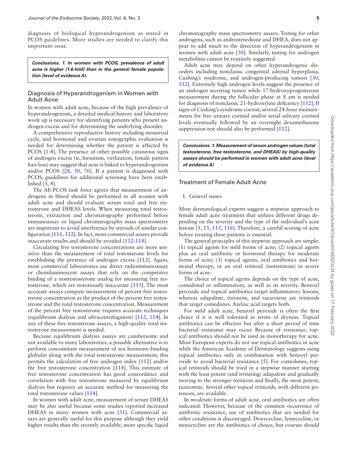diagnosis of biological hyperandrogenism as stated in PCOS guidelines. More studies are needed to clarify this important issue.

*Conclusions. 1. In women with PCOS, prevalence of adult acne is higher (1.6-fold) than in the general female population (level of evidence A).*

#### Diagnosis of Hyperandrogenism in Women with Adult Acne

In women with adult acne, because of the high prevalence of hyperandrogenism, a detailed medical history and laboratory work up is necessary for identifying patients who present androgen excess and for determining the underlying disorder.

A comprehensive reproductive history including menstrual cycle, and hormonal and ovarian sonographic evaluation is needed for determining whether the patient is affected by PCOS [1-4]. The presence of other possible cutaneous signs of androgen excess (ie, hirsutism, virilization, female pattern hair loss) may suggest that acne is linked to hyperandrogenism and/or PCOS [28, 30, 76]. If a patient is diagnosed with PCOS, guidelines for additional screening have been established [3, 4].

The AE-PCOS task force agrees that measurement of androgens in blood should be performed in all women with adult acne and should evaluate serum total and free testosterone and DHEAS levels. When measuring total testosterone, extraction and chromatography performed before immunoassay or liquid chromatography mass spectrometry are important to avoid interference by steroids of similar confguration [111, 112]. In fact, most commercial assays provide inaccurate results and should be avoided [112-114].

Circulating free testosterone concentrations are more sensitive than the measurement of total testosterone levels for establishing the presence of androgen excess [112]. Again, most commercial laboratories use direct radioimmunoassay or chemiluminescent assays that rely on the competitive binding of a nontestosterone analog for measuring free testosterone, which are notoriously inaccurate [113]. The most accurate assays compute measurement of percent free testosterone concentration as the product of the percent free testosterone and the total testosterone concentration. Measurement of the percent free testosterone requires accurate techniques (equilibrium dialysis and ultracentrifugation) [112, 114]. In any of these free testosterone assays, a high-quality total testosterone measurement is needed.

Because equilibrium dialysis assays are cumbersome and not available to many laboratories, a possible alternative is to perform concomitant measurement of sex hormone–binding globulin along with the total testosterone measurement; this permits the calculation of free androgen index [112] and/or the free testosterone concentration [114]. This estimate of free testosterone concentration has good concordance and correlation with free testosterone measured by equilibrium dialysis but requires an accurate method for measuring the total testosterone values [114].

In women with adult acne, measurement of serum DHEAS may be also useful because some studies reported increased DHEAS in many women with acne [31]. Commercial assays are generally useful for this purpose although they yield higher results than the recently available, more specific liquid

chromatography mass spectrometry assays. Testing for other androgens, such as androstenedione and DHEA, does not appear to add much to the detection of hyperandrogenism in women with adult acne [30]. Similarly, testing for androgen metabolites cannot be routinely suggested.

Adult acne may depend on other hyperandrogenic disorders including nonclassic congenital adrenal hyperplasia, Cushing's syndrome, and androgen-producing tumors [30, 112]. Extremely high androgen levels suggest the presence of an androgen secreting tumor while 17-hydroxyprogesterone measurement during the follicular phase at 8 am is needed for diagnosis of nonclassic 21-hydroxylase defciency [112]. If signs of Cushing's syndrome coexist, several 24-hour measurements for free urinary cortisol and/or serial salivary cortisol levels eventually followed by an overnight dexamethasone suppression test should also be performed [112].

*Conclusions. 1. Measurement of serum androgen values (total testosterone, free testosterone, and DHEAS) by high-quality assays should be performed in women with adult acne (level of evidence A)*

### Treatment of Female Adult Acne

#### 1. General issues

Most dermatological experts suggest a stepwise approach to female adult acne treatment that utilizes different drugs depending on the severity and the type of the individual's acne lesions [5, 15, 115, 116]. Therefore, a careful scoring of acne before treating these patients is essential.

The general principles of this stepwise approach are simple: (1) topical agents for mild forms of acne; (2) topical agents plus an oral antibiotic or hormonal therapy for moderate forms of acne; (3) topical agents, oral antibiotics and hormonal therapy, or an oral retinoid (isotretinoin) in severe forms of acne.

The choice of topical agents depends on the type of acne, comedonal or infammatory, as well as its severity. Benzoyl peroxide and topical antibiotics target infammatory lesions, whereas adapalene, tretinoin, and tazarotene are retinoids that target comedones. Azelaic acid targets both.

For *mild* adult acne, benzoyl peroxide is often the frst choice if it is well tolerated in terms of dryness. Topical antibiotics can be effective but after a short period of time bacterial resistance may occur. Because of resistance, topical antibiotics should not be used as monotherapy for acne. Most European experts do not use topical antibiotics in acne while the American Academy of Dermatology suggests using topical antibiotics only in combination with benzoyl peroxide to avoid bacterial resistance [5]. For comedones, topical retinoids should be tried in a stepwise manner starting with the least potent (and irritating) adapalene and gradually moving to the stronger tretinoin and fnally, the most potent, tazarotene. Several other topical retinoids, with different potencies, are available.

In *moderate* forms of adult acne, oral antibiotics are often indicated. However, because of the common occurrence of antibiotic resistance, use of antibiotics that are needed for other conditions is discouraged. Doxycycline, lymecycline, or minocycline are the antibiotics of choice, but courses should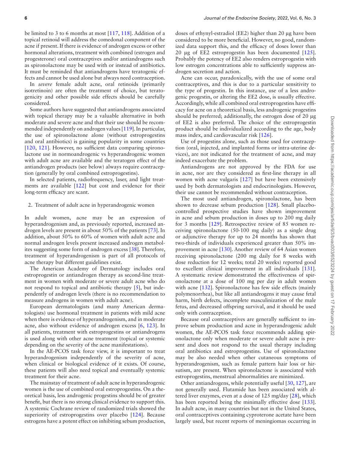hormonal alterations, treatment with combined (estrogen and progesterone) oral contraceptives and/or antiandrogens such as spironolactone may be used with or instead of antibiotics. It must be reminded that antiandrogens have teratogenic effects and cannot be used alone but always need contraception.

In *severe* female adult acne, oral retinoids (primarily isotretinoin) are often the treatment of choice, but teratogenicity and other possible side effects should be carefully considered.

Some authors have suggested that antiandrogens associated with topical therapy may be a valuable alternative in both moderate and severe acne and that their use should be recommended independently on androgen values [119]. In particular, the use of spironolactone alone (without estroprogestins and oral antibiotics) is gaining popularity in some countries [120, 121]. However, no sufficient data comparing spironolactone use in normoandrogenic vs hyperandrogenic women with adult acne are available and the teratogen effect of the antiandrogen products (see below) always require contraception (generally by oral combined estroprogestins).

In selected patients, radiofrequency, laser, and light treatments are available [122] but cost and evidence for their long-term efficacy are scant.

#### 2. Treatment of adult acne in hyperandrogenic women

In adult women, acne may be an expression of hyperandrogenism and, as previously reported, increased androgen levels are present in about 50% of the patients [73]. In addition, about 50% to 60% of women with adult acne and normal androgen levels present increased androgen metabolites suggesting some form of androgen excess [38]. Therefore, treatment of hyperandrogenism is part of all protocols of acne therapy but different guidelines exist.

The American Academy of Dermatology includes oral estroprogestin or antiandrogen therapy as second-line treatment in women with moderate or severe adult acne who do not respond to topical and antibiotic therapy [5], but independently of androgen levels (there is no recommendation to measure androgens in women with adult acne).

European dermatologists (and many American dermatologists) use hormonal treatment in patients with mild acne when there is evidence of hyperandrogenism, and in moderate acne, also without evidence of androgen excess [6, 123]. In all patients, treatment with estroprogestins or antiandrogens is used along with other acne treatment (topical or systemic depending on the severity of the acne manifestations).

In the AE-PCOS task force view, it is important to treat hyperandrogenism independently of the severity of acne, when clinical or biological evidence of it exists. Of course, these patients will also need topical and eventually systemic treatment for their acne.

The mainstay of treatment of adult acne in hyperandrogenic women is the use of combined oral estroprogestins. On a theoretical basis, less androgenic progestins should be of greater beneft, but there is no strong clinical evidence to support this. A systemic Cochrane review of randomized trials showed the superiority of estroprogestins over placebo [124]. Because estrogens have a potent effect on inhibiting sebum production, doses of ethynyl-estradiol (EE2) higher than 20 μg have been considered to be more benefcial. However, no good, randomized data support this, and the efficacy of doses lower than 20 μg of EE2 estroprogestin has been documented [125]. Probably the potency of EE2 also renders estroprogestin with low estrogen concentrations able to sufficiently suppress androgen secretion and action.

Acne can occur, paradoxically, with the use of some oral contraceptives, and this is due to a particular sensitivity to the type of progestin. In this instance, use of a less androgenic progestin, or altering the EE2 dose, is usually effective. Accordingly, while all combined oral estroprogestins have effcacy for acne on a theoretical basis, less androgenic progestins should be preferred; additionally, the estrogen dose of 20 μg of EE2 is also preferred. The choice of the estroprogestin product should be individualized according to the age, body mass index, and cardiovascular risk [126].

Use of progestins alone, such as those used for contraception (oral, injected, and implanted forms or intra-uterine devices), are not indicated for the treatment of acne, and may indeed exacerbate the problem.

Antiandrogens are not approved by the FDA for use in acne, nor are they considered as frst-line therapy in all women with acne vulgaris [127] but have been extensively used by both dermatologists and endocrinologists. However, their use cannot be recommended without contraception.

The most used antiandrogen, spironolactone, has been shown to decrease sebum production [128]. Small placebocontrolled prospective studies have shown improvement in acne and sebum production in doses up to 200 mg daily for 3 months [129]. Retrospective review of 85 women receiving spironolactone (50-100 mg daily) as a single drug or adjunctive therapy for up to 24 months has shown that two-thirds of individuals experienced greater than 50% improvement in acne [130]. Another review of 64 Asian women receiving spironolactone (200 mg daily for 8 weeks with dose reduction for 12 weeks; total 20 weeks) reported good to excellent clinical improvement in all individuals [131]. A systematic review demonstrated the effectiveness of spironolactone at a dose of 100 mg per day in adult women with acne [132]. Spironolactone has few side effects (mainly polymenorrhea), but like all antiandrogens it may cause fetal harm, birth defects, incomplete masculinization of the male fetus, and decreased offspring survival, and it should be used only with contraception.

Because oral contraceptives are generally sufficient to improve sebum production and acne in hyperandrogenic adult women, the AE-PCOS task force recommends adding spironolactone only when moderate or severe adult acne is present and does not respond to the usual therapy including oral antibiotics and estroprogestins. Use of spironolactone may be also needed when other cutaneous symptoms of hyperandrogenism, such as female pattern hair loss or hirsutism, are present. When spironolactone is associated with estroprogestins, menstrual abnormalities are minimized.

Other antiandrogens, while potentially useful [30, 127], are not generally used. Flutamide has been associated with altered liver enzymes, even at a dose of 125 mg/day [28], which has been reported being the minimally effective dose [133]. In adult acne, in many countries but not in the United States, oral contraceptives containing cyproterone acetate have been largely used, but recent reports of meningiomas occurring in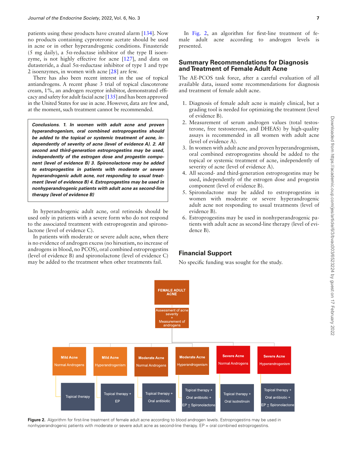patients using these products have created alarm [134]. Now no products containing cyproterone acetate should be used in acne or in other hyperandrogenic conditions. Finasteride (5 mg daily), a  $5\alpha$ -reductase inhibitor of the type II isoenzyme, is not highly effective for acne [127], and data on dutasteride, a dual 5α-reductase inhibitor of type 1 and type 2 isoenzymes, in women with acne [28] are few.

There has also been recent interest in the use of topical antiandrogens. A recent phase 3 trial of topical clascoterone cream, 1%, an androgen receptor inhibitor, demonstrated effcacy and safety for adult facial acne [135] and has been approved in the United States for use in acne. However, data are few and, at the moment, such treatment cannot be recommended.

*Conclusions. 1. In women with adult acne and proven hyperandrogenism, oral combined estroprogestins should be added to the topical or systemic treatment of acne, independently of severity of acne (level of evidence A). 2. All second and third-generation estroprogestins may be used, independently of the estrogen dose and progestin component (level of evidence B) 3. Spironolactone may be added to estroprogestins in patients with moderate or severe hyperandrogenic adult acne, not responding to usual treatment (level of evidence B) 4. Estroprogestins may be used in nonhyperandrogenic patients with adult acne as second-line therapy (level of evidence B)*

In hyperandrogenic adult acne, oral retinoids should be used only in patients with a severe form who do not respond to the associated treatment with estroprogestin and spironolactone (level of evidence C).

In patients with moderate or severe adult acne, when there is no evidence of androgen excess (no hirsutism, no increase of androgens in blood, no PCOS), oral combined estroprogestins (level of evidence B) and spironolactone (level of evidence C) may be added to the treatment when other treatments fail.

In Fig. 2, an algorithm for first-line treatment of female adult acne according to androgen levels is presented.

### **Summary Recommendations for Diagnosis and Treatment of Female Adult Acne**

The AE-PCOS task force, after a careful evaluation of all available data, issued some recommendations for diagnosis and treatment of female adult acne.

- 1. Diagnosis of female adult acne is mainly clinical, but a grading tool is needed for optimizing the treatment (level of evidence B).
- 2. Measurement of serum androgen values (total testosterone, free testosterone, and DHEAS) by high-quality assays is recommended in all women with adult acne (level of evidence A).
- 3. In women with adult acne and proven hyperandrogenism, oral combined estroprogestins should be added to the topical or systemic treatment of acne, independently of severity of acne (level of evidence A).
- 4. All second- and third-generation estroprogestins may be used, independently of the estrogen dose and progestin component (level of evidence B).
- 5. Spironolactone may be added to estroprogestins in women with moderate or severe hyperandrogenic adult acne not responding to usual treatments (level of evidence B).
- 6. Estroprogestins may be used in nonhyperandrogenic patients with adult acne as second-line therapy (level of evidence B).

## **Financial Support**

No specifc funding was sought for the study.



Figure 2. Algorithm for first-line treatment of female adult acne according to blood androgen levels. Estroprogestins may be used in nonhyperandrogenic patients with moderate or severe adult acne as second-line therapy. EP = oral combined estroprogestins.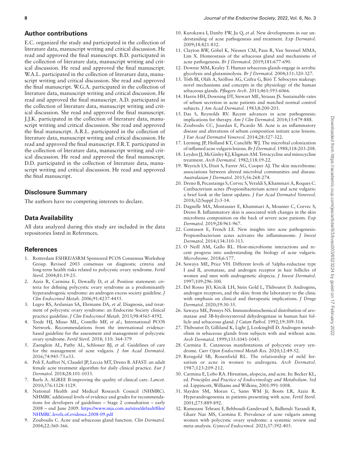## **Author contributions**

E.C. organized the study and participated in the collection of literature data, manuscript writing and critical discussion. He read and approved the fnal manuscript. B.D. participated in the collection of literature data, manuscript writing and critical discussion. He read and approved the fnal manuscript. W.A.L. participated in the collection of literature data, manuscript writing and critical discussion. She read and approved the fnal manuscript. W.G.A. participated in the collection of literature data, manuscript writing and critical discussion. He read and approved the fnal manuscript. A.D. participated in the collection of literature data, manuscript writing and critical discussion. She read and approved the fnal manuscript. J.J.K. participated in the collection of literature data, manuscript writing and critical discussion. She read and approved the fnal manuscript. A.R.L. participated in the collection of literature data, manuscript writing and critical discussion. He read and approved the fnal manuscript. F.R.T. participated in the collection of literature data, manuscript writing and critical discussion. He read and approved the fnal manuscript. D.D. participated in the collection of literature data, manuscript writing and critical discussion. He read and approved the fnal manuscript.

## **Disclosure Summary**

The authors have no competing interests to declare.

## **Data Availability**

All data analyzed during this study are included in the data repositories listed in References.

## **References**

- 1. Rotterdam ESHRE/ASRM Sponsored PCOS Consensus Workshop Group. Revised 2003 consensus on diagnostic criteria and long-term health risks related to polycystic ovary syndrome. *Fertil Steril.* 2004;81:19-25.
- 2. Azziz R, Carmina E, Dewailly D, *et al*. Position statement: criteria for defning polycystic ovary syndrome as a predominantly hyperandrogenic syndrome: an androgen excess society guideline. *J Clin Endocrinol Metab.* 2006;91:4237-4455.
- 3. Legro RS, Arslanian SA, Ehrmann DA, *et al*. Diagnosis, and treatment of polycystic ovary syndrome: an Endocrine Society clinical practice guideline. *J Clin Endocrinol Metab.* 2013;98:4565-4592.
- 4. Teede HJ, Misso ML, Costello MF, *et al*.; International PCOS Network. Recommendations from the international evidencebased guideline for the assessment and management of polycystic ovary syndrome. *Fertil Steril.* 2018; 110: 364-379
- 5. Zaenglein AL, Pathy AL, Schlosser BJ, *et al*. Guidelines of care for the management of acne vulgaris. *J Am Acad Dermatol.* 2016;74:945-73.e33.
- 6. Poli F, Auffret N, Claudel JP, Leccia MT, Dreno B. AFAST: an adult female acne treatment algorithm for daily clinical practice. *Eur J Dermatol.* 2018;28:101-1033.
- 7. Burls A. AGREE II-improving the quality of clinical care. *Lancet.* 2010;376:1128-1129.
- 8. National Health and Medical Research Council (NHMRC). NHMRC additional levels of evidence and grades for recommendations for developers of guidelines – Stage 2 consultation – early 2008 – end June 2009. [https://www.mja.com.au/sites/default/fles/](https://www.mja.com.au/sites/default/files/NHMRC.levels.of.evidence.2008-09.pdf) [NHMRC.levels.of.evidence.2008-09.pdf](https://www.mja.com.au/sites/default/files/NHMRC.levels.of.evidence.2008-09.pdf)
- 9. Zouboulis C. Acne and sebaceous gland function. *Clin Dermatol.* 2004;22:360-366.
- 10. Kurokawa I, Danby FW, Ju Q, *et al*. New developments in our understanding of acne pathogenesis and treatment. *Exp Dermatol.* 2009;18:821-832.
- 11. Clayton RW, Göbel K, Niessen CM, Paus R, Van Steensel MMA, Lim X. Homeostasis of the sebaceous gland and mechanisms of acne pathogenesis. *Br J Dermatol.* 2019;181:677-690.
- 12. Downie MM, Kealey T. Human sebaceous glands engage in aerobic glycolysis and glutaminolysis. *Br J Dermatol.* 2004;151:320-327.
- 13. Tóth BI, Oláh A, Szöllosi AG, Czifra G, Bíró T. Sebocytes makeup: novel mechanisms and concepts in the physiology of the human sebaceous glands. *Pfugers Arch.* 2011;461:593-6066.
- 14. Harris HH, Downing DT, Stewart ME, Strauss JS. Sustainable rates of sebum secretion in acne patients and matched normal control subjects. *J Am Acad Dermatol.* 1983;8:200-203.
- 15. Das S, Reynolds RV. Recent advances in acne pathogenesis: implications for therapy. *Am J Clin Dermatol.* 2014;15:479-888.
- 16. Zouboulis CC, Jourdan E, Picardo M. Acne is an infammatory disease and alterations of sebum composition initiate acne lesions. *J Eur Acad Dermatol Venereol.* 2014;28:527-322.
- 17. Leeming JP, Holland KT, Cuncliffe WJ. The microbial colonization of infamed acne vulgaris lesions. *Br J Dermatol.* 1988;118:203-208.
- 18. Leyden JJ, McGinley KJ, Kligman AM. Tetracycline and minocycline treatment. *Arch Dermatol.* 1982;118:19-22.
- 19. Weyrich LS, Dixit S, Farrer AG, Cooper AJ. The skin microbiome: associations between altered microbial communities and disease. *Australasian J Dermatol.* 2015;56:268-274.
- 20. Dreno B, Pecastaings S, Corvec S, Veraldi S, Khammari A, Roques C. Cutibacterium acnes (Propionibacterium acnes) and acne vulgaris: a brief look at the latest updates. *J Eur Acad Dermatol Venereol.* 2018;32(Suppl 2):5-14.
- 21. Dagnelle MA, Montassier E, Khammari A, Mounier C, Corvec S, Dreno B. Infammatory skin is associated with changes in the skin microbiota composition on the back of severe acne patients. *Exp Dermatol.* 2019;28:961-967.
- 22. Contassot E, French LE. New insights into acne pathogenesis: Propionibacterium acnes activates the infammasome. *J Invest Dermatol.* 2014;134:310-313.
- 23. O Neill AM, Gallo RL. Host-microbiome interactions and recent progress into understanding the biology of acne vulgaris. *Microbiome.* 2018;6:177.
- 24. Sawaya ME, Price VH. Different levels of 5alpha-reductase type I and II, aromatase, and androgen receptor in hair follicles of women and men with androgenetic alopecia. *J Invest Dermatol.* 1997;109:296-300.
- 25. Del Rosso JO, Kircik LH, Stein Gold L, Thiboutot D. Androgens, androgen receptors, and the skin: from the laboratory to the clinic with emphasis on clinical and therapeutic implications. *J Drugs Dermatol.* 2020;19:30-35.
- 26. Sawaya ME, Pennys NS. Immunohistochemical distribution of aromatase and 3B-hydroxysteroid dehydrogenase in human hair follicle and sebaceous gland. *J Cutan Pathol.* 1992;19:309-314.
- 27. Thiboutot D, Gilliland K, Light J, Lookingbill D. Androgen metabolism in sebaceous glands from subjects with and without acne. *Arch Dermatol.* 1999;135:1041-1045.
- 28. Carmina E. Cutaneous manifestations of polycystic ovary syndrome. *Curr Opin Endocrinol Metab Res.* 2020;12:49-52.
- 29. Reingold SB, Rosenfield RL. The relationship of mild hirsutism or acne in women to androgens. *Arch Dermatol.* 1987;123:209-212.
- 30. Carmina E, Lobo RA. Hirsutism, alopecia, and acne. In: Becker KL, ed. *Principles and Practice of Endocrinology and Metabolism*. 3rd ed. Lippincott, Williams and Wilkins; 2001:991-1008.
- 31. Slayden SM, Moran C, Sams WM Jr, Boots LR, Azziz R. Hyperandrogenemia in patients presenting with acne. *Fertil Steril.* 2001;275:889-892.
- 32. Ramezani Tehrani F, Behboudi-GandevanI S, Bidhendi Yarandi R, Ghare Naz MS, Carmina E. Prevalence of acne vulgaris among women with polycystic ovary syndrome: a systemic review and meta-analysis. *Gynecol Endocrinol.* 2021;37:392-405.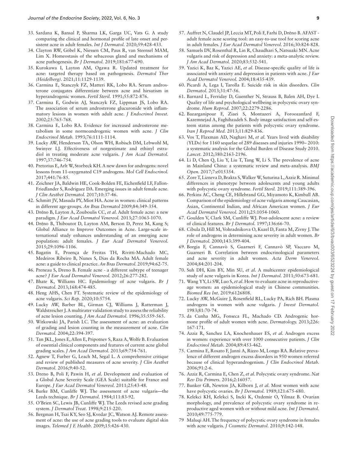- 33. Sardana K, Bansal P, Sharma LK, Garga UC, Vats G. A study comparing the clinical and hormonal profle of late onset and persistent acne in adult females. *Int J Dermatol.* 2020;59:428-433.
- 34. Clayton RW, Göbel K, Niessen CM, Paus R, van Steensel MAM, Lim X. Homeostasis of the sebaceous gland and mechanisms of acne pathogenesis. *Br J Dermatol.* 2019;181:677-690.
- 35. Kurokawa I, Layton AM, Ogawa R. Updated treatment for acne: targeted therapy based on pathogenesis. *Dermatol Ther (Heidelberg).* 2021;11:1129-1139.
- 36. Carmina E, Stanczyk FZ, Matteri RK, Lobo RA. Serum androsterone conjugates differentiate between acne and hirsutism in hyperandrogenic women. *Fertil Steril.* 1991;55:872-876.
- 37. Carmina E, Godwin AJ, Stanczyk FZ, Lippman JS, Lobo RA. The association of serum androsterone glucuronide with infammatory lesions in women with adult acne. *J Endocrinol Invest.* 2002;25:765-768.
- 38. Carmina E, Lobo RA. Evidence for increased androsterone metabolism in some normoandrogenic women with acne. *J Clin Endocrinol Metab.* 1993;76:1111-1114.
- 39. Lucky AW, Henderson TA, Olson WH, Robisch DM, Lebwohl M, Swinyer LJ. Effectiveness of norgestimate and ethinyl estradiol in treating moderate acne vulgaris. *J Am Acad Dermatol.* 1997;37:746-754.
- 40. Pretorius E, Arlt W, Storbeck KH. A new dawn for androgens: novel lessons from 11-oxygenated C19 androgens. *Mol Cell Endocrinol.* 2017;441:76-85.
- 41. Zeichner JA, Baldwin HE, Cook-Bolden FE, Eichenfeld LF, Fallon-Friedlander S, Rodriguez DA. Emerging issues in adult female acne. *J Clin Aesthet Dermatol.* 2017;10:37-46.
- 42. Schmitt JV, Masuda PY, Miot HA. Acne in women: clinical patterns in different age-groups. *An Bras Dermatol* 2009;84:349-354.
- 43. Dréno B, Layton A, Zouboulis CC, *et al*. Adult female acne: a new paradigm. *J Eur Acad Dermatol Venereol.* 2013;27:1063-1070.
- 44. Dréno B, Thiboutot D, Layton AM, Berson D, Perez M, Kang S; Global Alliance to Improve Outcomes in Acne. Large-scale international study enhances understanding of an emerging acne population: adult females. *J Eur Acad Dermatol Venereol.* 2015;29:1096-1106.
- 45. Bagatin E, Proença de Freitas TH, Rivitti-Machado MC, Medeiros Ribeiro B, Nunes S, Dias da Rocha MA. Adult female acne: a guide to clinical practice. *An Bras Dermatol.* 2019;94:62-75.
- 46. Preneau S, Dreno B. Female acne a different subtype of teenager acne? *J Eur Acad Dermatol Venereol.* 2012;26:277-282.
- 47. Bhate K, Williams HC. Epidemiology of acne vulgaris. *Br J Dermatol.* 2013;168:474-485.
- 48. Heng AHS, Chen FT. Systematic review of the epidemiology of acne vulgaris. *Sci Rep.* 2020;10:5754.
- 49. Lucky AW, Barber BL, Girman CJ, Williams J, Ratterman J, Waldstreicher J. A multirater validation study to assess the reliability of acne lesion counting. *J Am Acad Dermatol.* 1996;35:559-565.
- 50. Witkowski JA, Parish LC. The assessment of acne: an evaluation of grading and lesion counting in the measurement of acne. *Clin Dermatol.* 2004;22:394-397.
- 51. Tan JKL, Jones E, Allen E, Pripotnev S, Raza A, Wolfe B. Evaluation of essential clinical components and features of current acne global grading scales. *J Am Acad Dermatol.* 2013;69:754-761.
- 52. Agnew T, Furber G, Leach M, Segal L. A comprehensive critique and review of published measures of acne severity. *J Clin Aesthet Dermatol.* 2016;9:40-52.
- 53. Dreno B, Poli F, Pawin H, *et al*. Development and evaluation of a Global Acne Severity Scale (GEA Scale) suitable for France and Europe. *J Eur Acad Dermatol Venereol.* 2011;25:43-48.
- 54. Burke BM, Cunliffe WJ. The assessment of acne vulgaris—the Leeds technique. *Br J Dermatol.* 1984;111:83-92.
- 55. O'Brien SC, Lewis JB, Cunliffe WJ. The Leeds revised acne grading system. *J Dermatol Treat.* 1998;9:215-220.
- 56. Bergman H, Tsai KY, Seo SJ, Kvedar JC, Watson AJ. Remote assessment of acne: the use of acne grading tools to evaluate digital skin images. *Telemed J E Health.* 2009;15:426-430.
- 57. Auffret N, Claudel JP, Leccia MT, Poli F, Farhi D, Dréno B. AFAST adult female acne scoring tool: an easy-to-use tool for scoring acne in adult females. *J Eur Acad Dermatol Venereol.* 2016;30:824-828.
- 58. Samuels DV, Rosenthal R, Lin R, Chaudhari S, Natsuaki MN. Acne vulgaris and risk of depression and anxiety: a meta-analytic review. *J Am Acad Dermatol.* 2020;83:532-541.
- 59. Yazici K, Baz K, Yazici AE, *et al*. Disease-specifc quality of life is associated with anxiety and depression in patients with acne. *J Eur Acad Dermatol Venereol.* 2004;18:435-439.
- 60. Picardi A, Lega I, Tarolla E. Suicide risk in skin disorders. *Clin Dermatol.* 2013;31:47-56.
- 61. Barnard L, Ferriday D, Guenther N, Strauss B, Balen AH, Dye I. Quality of life and psychological wellbeing in polycystic ovary syndrome. *Hum Reprod.* 2007;22:2279-2286.
- 62. Bazarganipour F, Ziaei S, Montazeri A, Foroozanfard F, Kazemnejad A, Faghihzadeh S. Body image satisfaction and self-esteem status among the patients with polycystic ovary syndrome. *Iran J Reprod Med.* 2013;11:829-836.
- 63. Vos T, Flaxman AD, Naghavi M, *et al*. Years lived with disability (YLDs) for 1160 sequelae of 289 diseases and injuries 1990– 2010: a systematic analysis for the Global Burden of Disease Study 2010. *Lancet.* 2012;380:2163-2196.
- 64. Li D, Chen Q, Liu Y, Liu T, Tang W, Li S. The prevalence of acne in Mainland China: a systematic review and meta-analysis. *BMJ Open.* 2017;7:e015354.
- 65. Zore T, Lizneva D, Brakta S, Walker W, Suturina L, Azziz R. Minimal differences in phenotype between adolescents and young adults with polycystic ovary syndrome. *Fertil Steril.* 2019;111:389-396.
- 66. Perkins AC, Cheng CE, Hillebrand GG, Miyamoto K, Kimball AB. Comparison of the epidemiology of acne vulgaris among Caucasian, Asian, Continental Indian, and African American women. *J Eur Acad Dermatol Venereol.* 2011;25:1054-1060.
- 67. Goulden V, Clark SM, Cunliffe WJ. Post-adolescent acne: a review of clinical features. *Br J Dermatol.* 1997;136:66-70.
- 68. Cibula D, Hill M, Vohradnikova O, Kuzel D, Fanta M, Zivny J. The role of androgens in determining acne severity in adult women. *Br J Dermatol.* 2000;143:399-404.
- 69. Borgia F, Cannavò S, Guarneri F, Cannavò SP, Vaccaro M, Guarneri B. Correlation between endocrinological parameters and acne severity in adult women. *Acta Derm Venereol.* 2004;84:201-204.
- 70. Suh DH, Kim BY, Min SU, *et al*. A multicenter epidemiological study of acne vulgaris in Korea. *Int J Dermatol.* 2011;50:673-681.
- 71. Wang YY, Li SW, Luo S, *et al*. How to evaluate acne in reproductiveage women: an epidemiological study in Chinese communities. *Biomed Res Int.* 2019:6126808.
- 72. Lucky AW, McGuire J, Rosenfeld RL, Lucky PA, Rich BH. Plasma androgens in women with acne vulgaris. *J Invest Dermatol.* 1983;81:70-74.
- 73. da Cunha MG, Fonseca FL, Machado CD. Androgenic hormone profle of adult women with acne. *Dermatology.* 2013;226: 167-171.
- 74. Azziz R, Sanchez LA, Knochenhauer ES, *et al*. Androgen excess in women: experience with over 1000 consecutive patients. *J Clin Endocrinol Metab.* 2004;89:453-462.
- 75. Carmina E, Rosato F, Jannì A, Rizzo M, Longo RA. Relative prevalence of different androgen excess disorders in 950 women referred because of clinical hyperandrogenism. *J Clin Endocrinol Metab.* 2006;91:2-6.
- 76. Azziz R, Carmina E, Chen Z, *et al*. Polycystic ovary syndrome. *Nat Rev Dis Primers.* 2016;2:16057.
- 77. Bunker GB, Newton JA, Kilborn J, *et al*. Most women with acne have polycystic ovaries. *Br J Dermatol.* 1989;121:675-680.
- 78. Kelekci KH, Kelekci S, Incki K, Ozdemir O, Yilmaz B. Ovarian morphology, and prevalence of polycystic ovary syndrome in reproductive aged women with or without mild acne. *Int J Dermatol.* 2010;49:775-779.
- 79 Maluqi AH. The frequency of polycystic ovary syndrome in females with acne vulgaris. *J Cosmetic Dermatol.* 2010;9:142-148.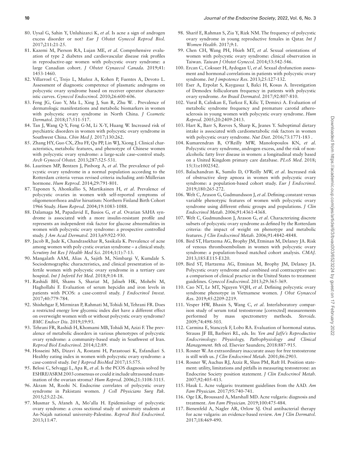- 80. Uysal G, Sahin Y, Unluhizarci K, *et al*. Is acne a sign of androgen excess disorder or not? *Eur J Obstet Gynecol Reprod Biol.* 2017;211:21-25.
- 81. Kazemi M, Pierson RA, Lujan ME, *et al*. Comprehensive evaluation of type 2 diabetes and cardiovascular disease risk profles in reproductive-age women with polycystic ovary syndrome: a large Canadian cohort. *J Obstet Gynaecol Canada.* 2019;41: 1453-1460.
- 82. Villarroel C, Trejo L, Muñoz A, Kohen P, Fuentes A, Devoto L. Assessment of diagnostic competence of plasmatic androgens on polycystic ovary syndrome based on receiver operator characteristic curves. *Gynecol Endocrinol.* 2010;26:600-606.
- 83. Feng JG, Guo Y, Ma L, Xing J, Sun R, Zhu W. . Prevalence of dermatologic manifestations and metabolic biomarkers in women with polycystic ovary syndrome in North China. *J Cosmetic Dermatol.* 2018;17:511-517.
- 84. Tan J, Wang Q-Y, Feng G-M, Li X-Y, Huang W. Increased risk of psychiatric disorders in women with polycystic ovary syndrome in Southwest China. *Chin Med J.* 2017;130:262.
- 85. Zhang HY, Guo CX, Zhu FF, Qu PP, Lin WJ, Xiong J. Clinical characteristics, metabolic features, and phenotype of Chinese women with polycystic ovary syndrome: a large-scale case–control study. *Arch Gynecol Obstet.* 2013;287:525-531.
- 86. Lauritsen MP, Bentzen J, Pinborg A, *et al*. The prevalence of polycystic ovary syndrome in a normal population according to the Rotterdam criteria versus revised criteria including anti-Müllerian hormone. *Hum Reprod.* 2014;29:791-801.
- 87. Taponen S, Ahonkallio S, Martikainen H, *et al*. Prevalence of polycystic ovaries in women with self‐reported symptoms of oligomenorrhoea and/or hirsutism: Northern Finland Birth Cohort 1966 Study. *Hum Reprod.* 2004;19:1083-1088.
- 88. Dalamaga M, Papadavid E, Basios G, *et al*. Ovarian SAHA syndrome is associated with a more insulin-resistant profle and represents an independent risk factor for glucose abnormalities in women with polycystic ovary syndrome: a prospective controlled study. *J Am Acad Dermatol.* 2013;69:922-930.
- 89. Jacob R, Jude K, Chandrasekhar R, Sasikala K. Prevalence of acne among women with poly cystic ovarian syndrome – a clinical study. *Scrutiny Int Res J Health Med Sci.* 2014;1(1):7-13.
- 90. Mangalath AAM, Alias A, Sajith M, Nimbargi V, Kumdale S. Sociodemographic characteristics, and clinical presentation of infertile women with polycystic ovary syndrome in a tertiary care hospital. *Int J Infertil Fet Med.* 2018;9:14-18.
- 91. Rashidi BH, Shams S, Shariat M, Jaliseh HK, Mohebi M, Haghollahi F. Evaluation of serum hepcidin and iron levels in patients with PCOS: a case-control study. *J Endocrinol Invest.* 2017;40:779-784.
- 92. Shishehgar F, Mirmiran P, Rahmati M, Tohidi M, Tehrani FR. Does a restricted energy low glycemic index diet have a different effect on overweight women with or without polycystic ovary syndrome? *BMC Endocr Dis.* 2019;19:93.
- 93. Tehrani FR, Rashidi H, Khomami MB, Tohidi M, Azizi F. The prevalence of metabolic disorders in various phenotypes of polycystic ovary syndrome: a community-based study in Southwest of Iran. *Reprod Biol Endocrinol.* 2014;12:89.
- 94. Hosseini MS, Dizavi A, Rostami H, Parastouei K, Esfandiari S. Healthy eating index in women with polycystic ovary syndrome: a case-control study. *Int J Reprod BioMed* 2017;15:575.
- 95. Belosi C, Selvaggi L, Apa R, *et al*. Is the PCOS diagnosis solved by ESHRE/ASRM 2003 consensus or could it include ultrasound examination of the ovarian stroma? *Hum Reprod.* 2006;21:3108-3115.
- 96. Akram M, Roohi N. Endocrine correlates of polycystic ovary syndrome in Pakistani women. *J Coll Physicians Surg Pak.* 2015;25:22-26.
- 97. Musmar S, Afaneh A, Mo'alla H. Epidemiology of polycystic ovary syndrome: a cross sectional study of university students at An-Najah national university-Palestine. *Reprod Biol Endocrinol.* 2013;11:47.
- 98. Sharif E, Rahman S, Zia Y, Rizk NM. The frequency of polycystic ovary syndrome in young reproductive females in Qatar. *Int J Women Health.* 2017;9:1.
- 99. Chen CH, Wang PH, Hsieh MT, *et al*. Sexual orientations of women with polycystic ovary syndrome: clinical observation in Taiwan. *Taiwan J Obstet Gynecol.* 2014;53:542-546.
- 100. Ercan C, Coksuer H, Aydogan U, *et al*. Sexual dysfunction assessment and hormonal correlations in patients with polycystic ovary syndrome. *Int J impotence Res.* 2013;25:127-132.
- 101 Eser A, Erpolat S, Kaygusuz I, Balci H, Kosus A. Investigation of Demodex folliculorum frequency in patients with polycystic ovary syndrome. *An Brasil Dermatol.* 2017;92:807-810.
- 102. Vural B, Caliskan E, Turkoz E, Kilic T, Demirci A. Evaluation of metabolic syndrome frequency and premature carotid atherosclerosis in young women with polycystic ovary syndrome. *Hum Reprod.* 2005;20:2409-2413.
- 103. Hart K, Barr S, Reeves S, Sharp K, Jeanes Y. Suboptimal dietary intake is associated with cardiometabolic risk factors in women with polycystic ovary syndrome. *Nut Diet.* 2016;73:1771-183 .
- 104. Kumarendran B, O'Reilly MW, Manolopoulos KN, *et al*. Polycystic ovary syndrome, androgen excess, and the risk of nonalcoholic fatty liver disease in women: a longitudinal study based on a United Kingdom primary care database. *PLoS Med*. 2018; 15(3):e1002542.
- 105. Balachandran K, Sumilo D, O'Reilly MW, *et al*. Increased risk of obstructive sleep apnoea in women with polycystic ovary syndrome: a population-based cohort study. *Eur J Endocrinol.* 2019;180:265-272.
- 106. Welt C, Arason G, Gudmundsson J, *et al*. Defning constant versus variable phenotypic features of women with polycystic ovary syndrome using different ethnic groups and populations. *J Clin Endocrinol Metab.* 2006;91:4361-4368.
- 107. Welt C, Gudmundsson J, Arason G, *et al*. Characterizing discrete subsets of polycystic ovary syndrome as defned by the Rotterdam criteria: the impact of weight on phenotype and metabolic features. *J Clin Endocrinol Metab.* 2006;91:4842-4848.
- 108. Bird ST, Hartzema AG, Brophy JM, Etminan M, Delaney JA. Risk of venous thromboembolism in women with polycystic ovary syndrome: a population-based matched cohort analysis. *CMAJ.* 2013;185:E115-E120.
- 109. Bird ST, Hartzema AG, Etminan M, Brophy JM, Delaney JA. Polycystic ovary syndrome and combined oral contraceptive use: a comparison of clinical practice in the United States to treatment guidelines. *Gynecol Endocrinol.* 2013;29:365-369.
- 110. Cao NT, Le MT, Nguyen VQH, *et al*. Defning polycystic ovary syndrome phenotype in Vietnamese women. *J Obst Gynaecol Res.* 2019;45:2209-2219.
- 111. Vesper HW, Bhasin S, Wang C, *et al*. Interlaboratory comparison study of serum total testosterone [corrected] measurements performed by mass spectrometry methods. *Steroids.* 2009;74:498-503.
- 112. Carmina E, Stanczyk F, Lobo RA. Evaluation of hormonal status. Strauss JF III, Barbieri RL, eds. In: *Yen and Jaffe's Reproductive Endocrinology: Physiology, Pathophysiology and Clinical Management*. 8th ed. Elsevier Saunders; 2018:887-915.
- 113. Rosner W. An extraordinary inaccurate assay for free testosterone is still with us. *J Clin Endocrinol Metab.* 2001;86:2903.
- 114. Rosner W, Auchus RJ, Azziz R, Sluss PM, Raft H. Position statement: utility, limitations and pitfalls in measuring testosterone: an Endocrine Society position statement. *J Clin Endocrinol Metab.* 2007;92:405-413.
- 115. Hauk L. Acne vulgaris: treatment guidelines from the AAD. *Am Fam Physician.* 2017;95:740-741.
- 116. Oge LK, Broussard A, Marshall MD. Acne vulgaris: diagnosis and treatment. *Am Fam Physician.* 2019;100:475-484.
- 117. Bienenfeld A, Nagler AR, Orlow SJ. Oral antibacterial therapy for acne vulgaris: an evidence-based review. *Am J Clin Dermatol.* 2017;18:469-490.